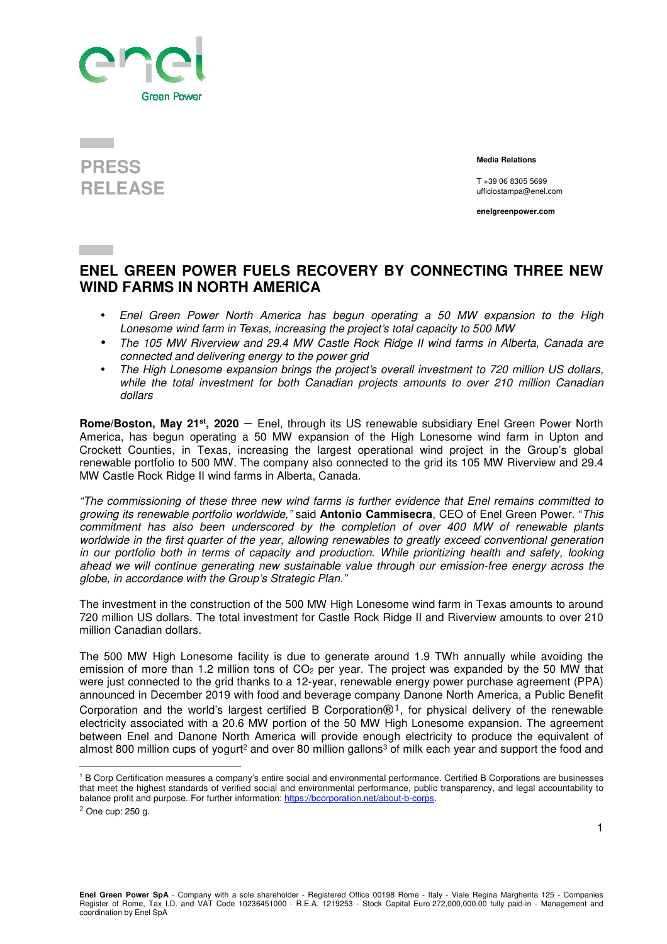

## **PRESS RELEASE**

 **Media Relations** 

T +39 06 8305 5699 ufficiostampa@enel.com

**enelgreenpower.com**

## **ENEL GREEN POWER FUELS RECOVERY BY CONNECTING THREE NEW WIND FARMS IN NORTH AMERICA**

- Enel Green Power North America has begun operating a 50 MW expansion to the High Lonesome wind farm in Texas, increasing the project's total capacity to 500 MW
- The 105 MW Riverview and 29.4 MW Castle Rock Ridge II wind farms in Alberta, Canada are connected and delivering energy to the power grid
- The High Lonesome expansion brings the project's overall investment to 720 million US dollars, while the total investment for both Canadian projects amounts to over 210 million Canadian dollars

**Rome/Boston, May 21st, 2020** – Enel, through its US renewable subsidiary Enel Green Power North America, has begun operating a 50 MW expansion of the High Lonesome wind farm in Upton and Crockett Counties, in Texas, increasing the largest operational wind project in the Group's global renewable portfolio to 500 MW. The company also connected to the grid its 105 MW Riverview and 29.4 MW Castle Rock Ridge II wind farms in Alberta, Canada.

"The commissioning of these three new wind farms is further evidence that Enel remains committed to growing its renewable portfolio worldwide," said **Antonio Cammisecra**, CEO of Enel Green Power. "This commitment has also been underscored by the completion of over 400 MW of renewable plants worldwide in the first quarter of the year, allowing renewables to greatly exceed conventional generation in our portfolio both in terms of capacity and production. While prioritizing health and safety, looking ahead we will continue generating new sustainable value through our emission-free energy across the globe, in accordance with the Group's Strategic Plan."

The investment in the construction of the 500 MW High Lonesome wind farm in Texas amounts to around 720 million US dollars. The total investment for Castle Rock Ridge II and Riverview amounts to over 210 million Canadian dollars.

The 500 MW High Lonesome facility is due to generate around 1.9 TWh annually while avoiding the emission of more than 1.2 million tons of  $CO<sub>2</sub>$  per year. The project was expanded by the 50 MW that were just connected to the grid thanks to a 12-year, renewable energy power purchase agreement (PPA) announced in December 2019 with food and beverage company Danone North America, a Public Benefit Corporation and the world's largest certified B Corporation $\mathbb{B}^1$ , for physical delivery of the renewable electricity associated with a 20.6 MW portion of the 50 MW High Lonesome expansion. The agreement between Enel and Danone North America will provide enough electricity to produce the equivalent of almost 800 million cups of yogurt<sup>2</sup> and over 80 million gallons<sup>3</sup> of milk each year and support the food and

<sup>&</sup>lt;sup>1</sup> B Corp Certification measures a company's entire social and environmental performance. Certified B Corporations are businesses that meet the highest standards of verified social and environmental performance, public transparency, and legal accountability to balance profit and purpose. For further information: https://bcorporation.net/about-b-corps.  $2$  One cup: 250 g.